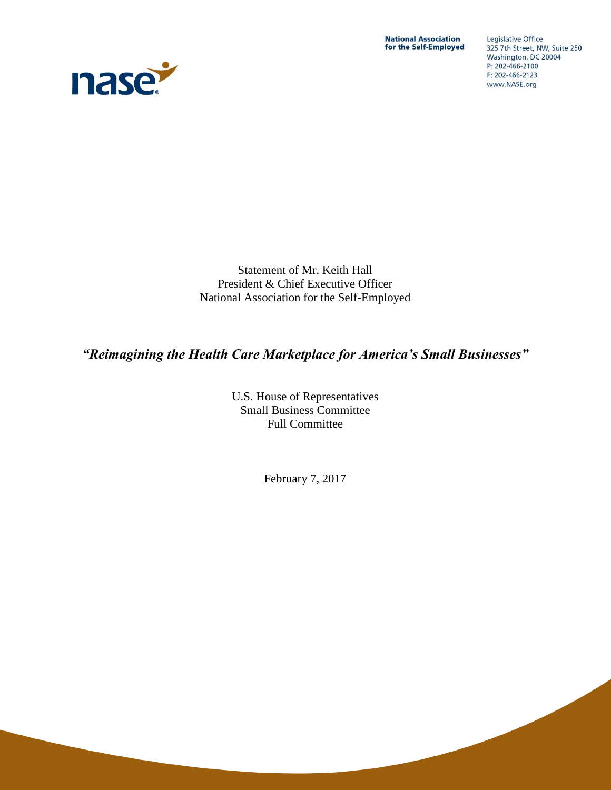**National Association** for the Self-Employed



Legislative Office 325 7th Street, NW, Suite 250 Washington, DC 20004 P: 202-466-2100 F: 202-466-2123 www.NASE.org

Statement of Mr. Keith Hall President & Chief Executive Officer National Association for the Self-Employed

# *"Reimagining the Health Care Marketplace for America's Small Businesses"*

U.S. House of Representatives Small Business Committee Full Committee

February 7, 2017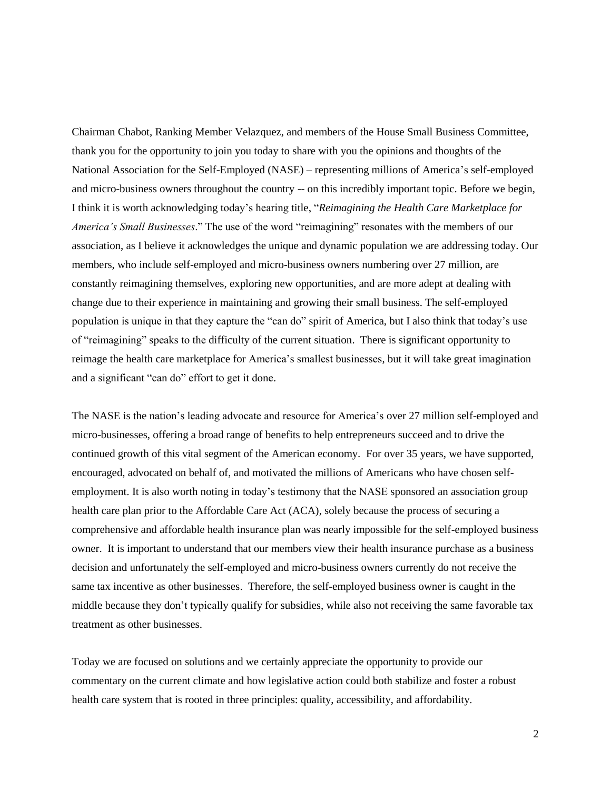Chairman Chabot, Ranking Member Velazquez, and members of the House Small Business Committee, thank you for the opportunity to join you today to share with you the opinions and thoughts of the National Association for the Self-Employed (NASE) – representing millions of America's self-employed and micro-business owners throughout the country -- on this incredibly important topic. Before we begin, I think it is worth acknowledging today's hearing title, "*Reimagining the Health Care Marketplace for America's Small Businesses*." The use of the word "reimagining" resonates with the members of our association, as I believe it acknowledges the unique and dynamic population we are addressing today. Our members, who include self-employed and micro-business owners numbering over 27 million, are constantly reimagining themselves, exploring new opportunities, and are more adept at dealing with change due to their experience in maintaining and growing their small business. The self-employed population is unique in that they capture the "can do" spirit of America, but I also think that today's use of "reimagining" speaks to the difficulty of the current situation. There is significant opportunity to reimage the health care marketplace for America's smallest businesses, but it will take great imagination and a significant "can do" effort to get it done.

The NASE is the nation's leading advocate and resource for America's over 27 million self-employed and micro-businesses, offering a broad range of benefits to help entrepreneurs succeed and to drive the continued growth of this vital segment of the American economy. For over 35 years, we have supported, encouraged, advocated on behalf of, and motivated the millions of Americans who have chosen selfemployment. It is also worth noting in today's testimony that the NASE sponsored an association group health care plan prior to the Affordable Care Act (ACA), solely because the process of securing a comprehensive and affordable health insurance plan was nearly impossible for the self-employed business owner. It is important to understand that our members view their health insurance purchase as a business decision and unfortunately the self-employed and micro-business owners currently do not receive the same tax incentive as other businesses. Therefore, the self-employed business owner is caught in the middle because they don't typically qualify for subsidies, while also not receiving the same favorable tax treatment as other businesses.

Today we are focused on solutions and we certainly appreciate the opportunity to provide our commentary on the current climate and how legislative action could both stabilize and foster a robust health care system that is rooted in three principles: quality, accessibility, and affordability.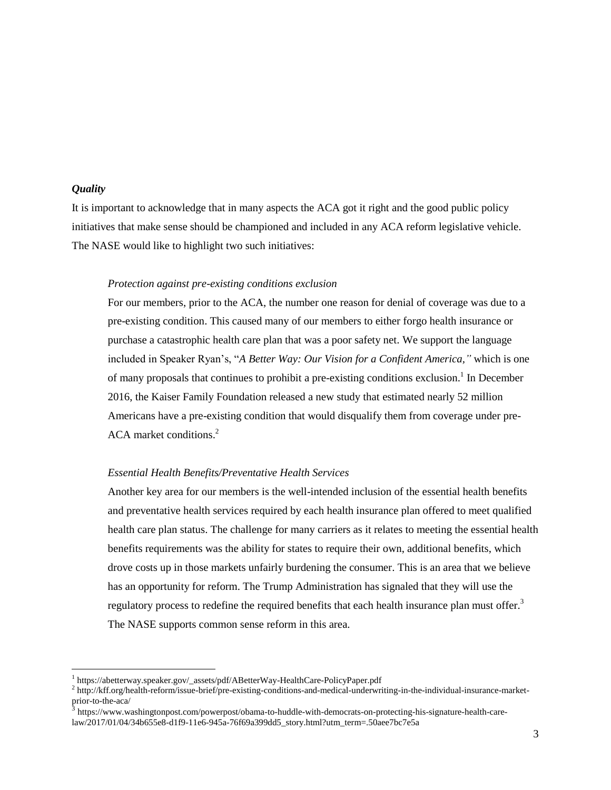# *Quality*

 $\overline{a}$ 

It is important to acknowledge that in many aspects the ACA got it right and the good public policy initiatives that make sense should be championed and included in any ACA reform legislative vehicle. The NASE would like to highlight two such initiatives:

#### *Protection against pre-existing conditions exclusion*

For our members, prior to the ACA, the number one reason for denial of coverage was due to a pre-existing condition. This caused many of our members to either forgo health insurance or purchase a catastrophic health care plan that was a poor safety net. We support the language included in Speaker Ryan's, "*A Better Way: Our Vision for a Confident America,"* which is one of many proposals that continues to prohibit a pre-existing conditions exclusion.<sup>1</sup> In December 2016, the Kaiser Family Foundation released a new study that estimated nearly 52 million Americans have a pre-existing condition that would disqualify them from coverage under pre-ACA market conditions. 2

#### *Essential Health Benefits/Preventative Health Services*

Another key area for our members is the well-intended inclusion of the essential health benefits and preventative health services required by each health insurance plan offered to meet qualified health care plan status. The challenge for many carriers as it relates to meeting the essential health benefits requirements was the ability for states to require their own, additional benefits, which drove costs up in those markets unfairly burdening the consumer. This is an area that we believe has an opportunity for reform. The Trump Administration has signaled that they will use the regulatory process to redefine the required benefits that each health insurance plan must offer.<sup>3</sup> The NASE supports common sense reform in this area.

<sup>&</sup>lt;sup>1</sup> https://abetterway.speaker.gov/\_assets/pdf/ABetterWay-HealthCare-PolicyPaper.pdf

<sup>2</sup> http://kff.org/health-reform/issue-brief/pre-existing-conditions-and-medical-underwriting-in-the-individual-insurance-marketprior-to-the-aca/<br>3 https://www.ex

https://www.washingtonpost.com/powerpost/obama-to-huddle-with-democrats-on-protecting-his-signature-health-carelaw/2017/01/04/34b655e8-d1f9-11e6-945a-76f69a399dd5\_story.html?utm\_term=.50aee7bc7e5a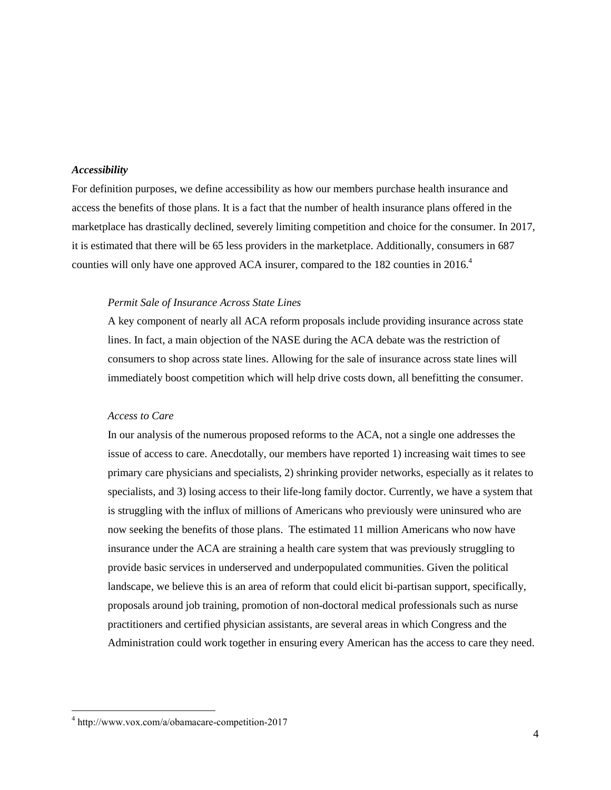# *Accessibility*

For definition purposes, we define accessibility as how our members purchase health insurance and access the benefits of those plans. It is a fact that the number of health insurance plans offered in the marketplace has drastically declined, severely limiting competition and choice for the consumer. In 2017, it is estimated that there will be 65 less providers in the marketplace. Additionally, consumers in 687 counties will only have one approved ACA insurer, compared to the 182 counties in 2016.<sup>4</sup>

# *Permit Sale of Insurance Across State Lines*

A key component of nearly all ACA reform proposals include providing insurance across state lines. In fact, a main objection of the NASE during the ACA debate was the restriction of consumers to shop across state lines. Allowing for the sale of insurance across state lines will immediately boost competition which will help drive costs down, all benefitting the consumer.

### *Access to Care*

In our analysis of the numerous proposed reforms to the ACA, not a single one addresses the issue of access to care. Anecdotally, our members have reported 1) increasing wait times to see primary care physicians and specialists, 2) shrinking provider networks, especially as it relates to specialists, and 3) losing access to their life-long family doctor. Currently, we have a system that is struggling with the influx of millions of Americans who previously were uninsured who are now seeking the benefits of those plans. The estimated 11 million Americans who now have insurance under the ACA are straining a health care system that was previously struggling to provide basic services in underserved and underpopulated communities. Given the political landscape, we believe this is an area of reform that could elicit bi-partisan support, specifically, proposals around job training, promotion of non-doctoral medical professionals such as nurse practitioners and certified physician assistants, are several areas in which Congress and the Administration could work together in ensuring every American has the access to care they need.

 $\overline{a}$ 

<sup>4</sup> http://www.vox.com/a/obamacare-competition-2017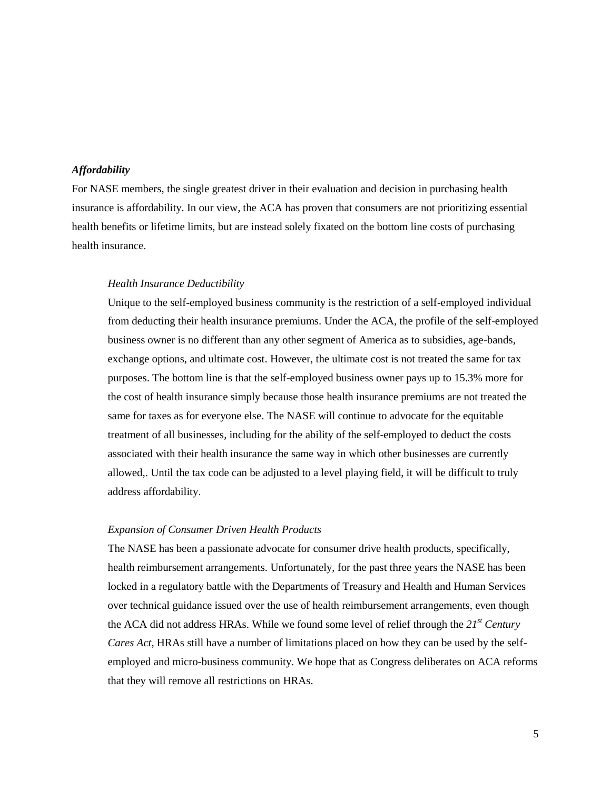# *Affordability*

For NASE members, the single greatest driver in their evaluation and decision in purchasing health insurance is affordability. In our view, the ACA has proven that consumers are not prioritizing essential health benefits or lifetime limits, but are instead solely fixated on the bottom line costs of purchasing health insurance.

#### *Health Insurance Deductibility*

Unique to the self-employed business community is the restriction of a self-employed individual from deducting their health insurance premiums. Under the ACA, the profile of the self-employed business owner is no different than any other segment of America as to subsidies, age-bands, exchange options, and ultimate cost. However, the ultimate cost is not treated the same for tax purposes. The bottom line is that the self-employed business owner pays up to 15.3% more for the cost of health insurance simply because those health insurance premiums are not treated the same for taxes as for everyone else. The NASE will continue to advocate for the equitable treatment of all businesses, including for the ability of the self-employed to deduct the costs associated with their health insurance the same way in which other businesses are currently allowed,. Until the tax code can be adjusted to a level playing field, it will be difficult to truly address affordability.

#### *Expansion of Consumer Driven Health Products*

The NASE has been a passionate advocate for consumer drive health products, specifically, health reimbursement arrangements. Unfortunately, for the past three years the NASE has been locked in a regulatory battle with the Departments of Treasury and Health and Human Services over technical guidance issued over the use of health reimbursement arrangements, even though the ACA did not address HRAs. While we found some level of relief through the *21st Century Cares Act*, HRAs still have a number of limitations placed on how they can be used by the selfemployed and micro-business community. We hope that as Congress deliberates on ACA reforms that they will remove all restrictions on HRAs.